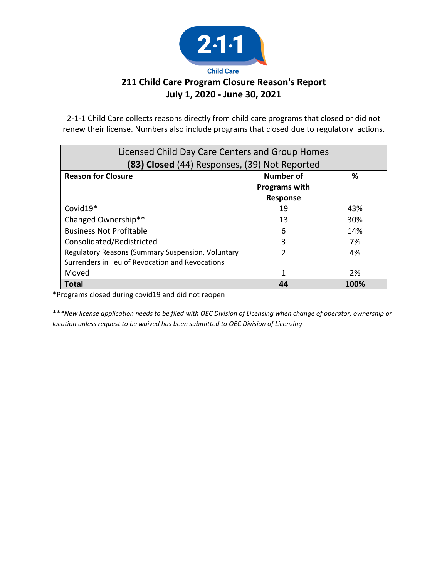

## **211 Child Care Program Closure Reason's Report July 1, 2020 - June 30, 2021**

2-1-1 Child Care collects reasons directly from child care programs that closed or did not renew their license. Numbers also include programs that closed due to regulatory actions.

| Licensed Child Day Care Centers and Group Homes   |                      |      |  |
|---------------------------------------------------|----------------------|------|--|
| (83) Closed (44) Responses, (39) Not Reported     |                      |      |  |
| <b>Reason for Closure</b>                         | <b>Number of</b>     | ℅    |  |
|                                                   | <b>Programs with</b> |      |  |
|                                                   | Response             |      |  |
| Covid19*                                          | 19                   | 43%  |  |
| Changed Ownership**                               | 13                   | 30%  |  |
| <b>Business Not Profitable</b>                    | 6                    | 14%  |  |
| Consolidated/Redistricted                         | 3                    | 7%   |  |
| Regulatory Reasons (Summary Suspension, Voluntary | 2                    | 4%   |  |
| Surrenders in lieu of Revocation and Revocations  |                      |      |  |
| Moved                                             | 1                    | 2%   |  |
| <b>Total</b>                                      | 44                   | 100% |  |

\*Programs closed during covid19 and did not reopen

\*\**\*New license application needs to be filed with OEC Division of Licensing when change of operator, ownership or location unless request to be waived has been submitted to OEC Division of Licensing*